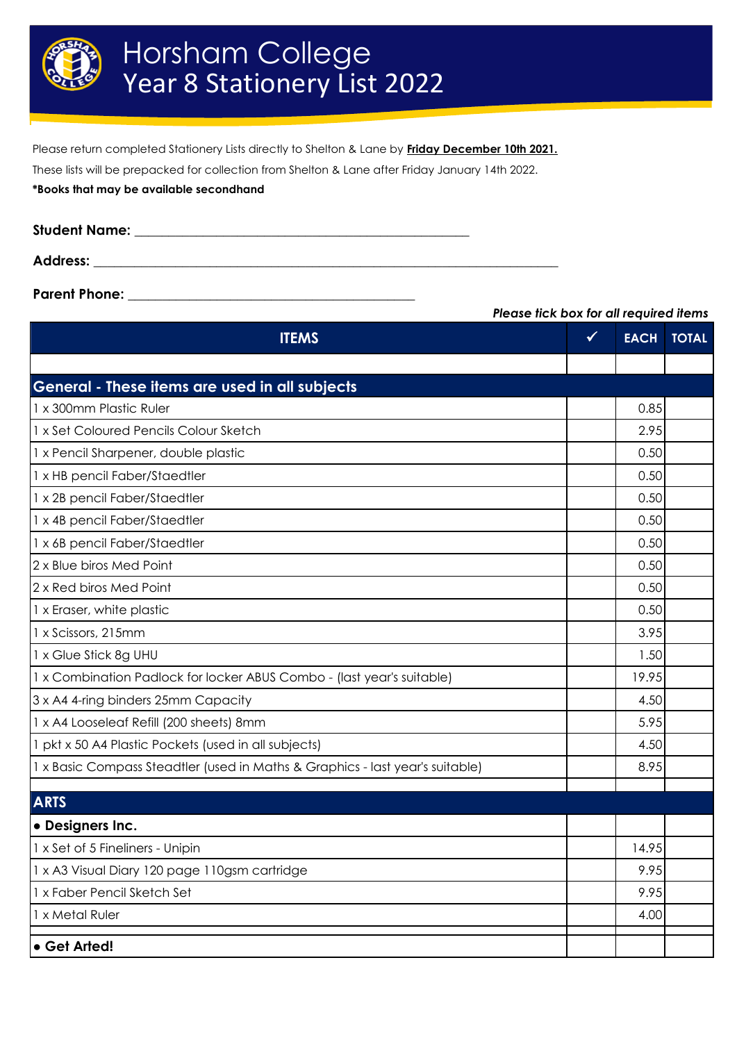

Please return completed Stationery Lists directly to Shelton & Lane by **Friday December 10th 2021.**

These lists will be prepacked for collection from Shelton & Lane after Friday January 14th 2022.

**\*Books that may be available secondhand**

| Student Name:   |  |
|-----------------|--|
| <b>Address:</b> |  |

**Parent Phone: \_\_\_\_\_\_\_\_\_\_\_\_\_\_\_\_\_\_\_\_\_\_\_\_\_\_\_\_\_\_\_\_\_\_\_\_\_\_\_\_\_\_**

*Please tick box for all required items*

| <b>ITEMS</b>                                                                  |  | <b>EACH</b> | <b>TOTAL</b> |
|-------------------------------------------------------------------------------|--|-------------|--------------|
|                                                                               |  |             |              |
| General - These items are used in all subjects                                |  |             |              |
| 1 x 300mm Plastic Ruler                                                       |  | 0.85        |              |
| 1 x Set Coloured Pencils Colour Sketch                                        |  | 2.95        |              |
| 1 x Pencil Sharpener, double plastic                                          |  | 0.50        |              |
| 1 x HB pencil Faber/Staedtler                                                 |  | 0.50        |              |
| 1 x 2B pencil Faber/Staedtler                                                 |  | 0.50        |              |
| 1 x 4B pencil Faber/Staedtler                                                 |  | 0.50        |              |
| 1 x 6B pencil Faber/Staedtler                                                 |  | 0.50        |              |
| 2 x Blue biros Med Point                                                      |  | 0.50        |              |
| 2 x Red biros Med Point                                                       |  | 0.50        |              |
| 1 x Eraser, white plastic                                                     |  | 0.50        |              |
| 1 x Scissors, 215mm                                                           |  | 3.95        |              |
| 1 x Glue Stick 8g UHU                                                         |  | 1.50        |              |
| 1 x Combination Padlock for locker ABUS Combo - (last year's suitable)        |  | 19.95       |              |
| 3 x A4 4-ring binders 25mm Capacity                                           |  | 4.50        |              |
| 1 x A4 Looseleaf Refill (200 sheets) 8mm                                      |  | 5.95        |              |
| 1 pkt x 50 A4 Plastic Pockets (used in all subjects)                          |  | 4.50        |              |
| 1 x Basic Compass Steadtler (used in Maths & Graphics - last year's suitable) |  | 8.95        |              |
| <b>ARTS</b>                                                                   |  |             |              |
| · Designers Inc.                                                              |  |             |              |
| 1 x Set of 5 Fineliners - Unipin                                              |  | 14.95       |              |
| 1 x A3 Visual Diary 120 page 110gsm cartridge                                 |  | 9.95        |              |
| 1 x Faber Pencil Sketch Set                                                   |  | 9.95        |              |
| 1 x Metal Ruler                                                               |  | 4.00        |              |
| • Get Arted!                                                                  |  |             |              |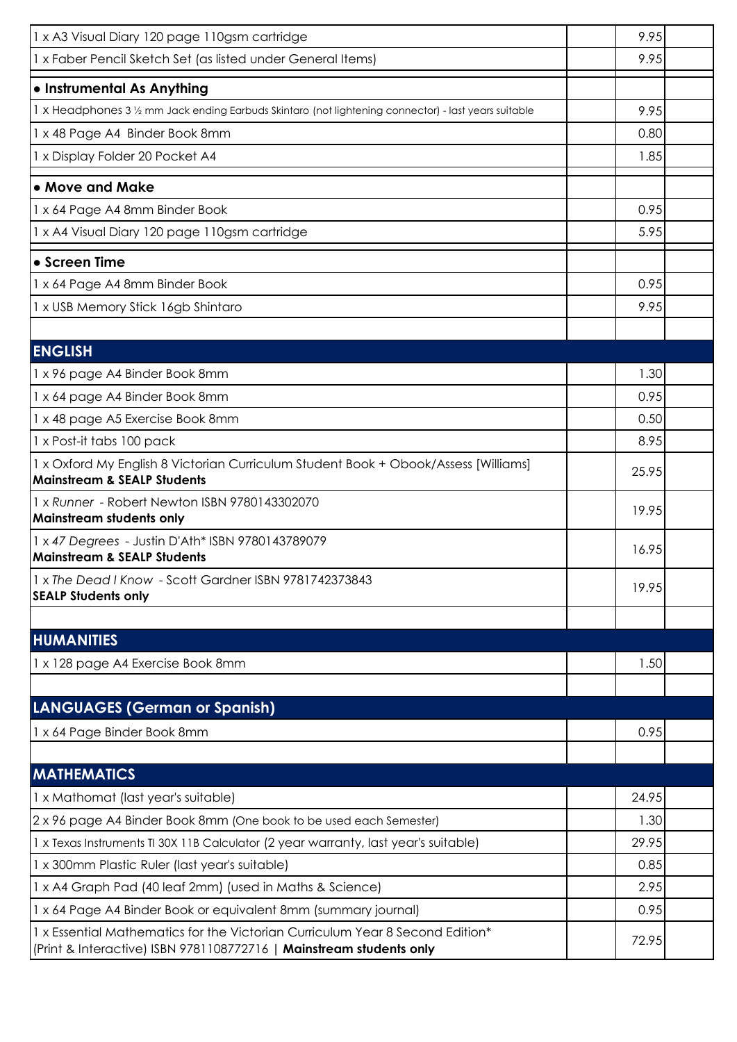| 1 x A3 Visual Diary 120 page 110gsm cartridge                                                                                                        | 9.95  |  |
|------------------------------------------------------------------------------------------------------------------------------------------------------|-------|--|
| 1 x Faber Pencil Sketch Set (as listed under General Items)                                                                                          | 9.95  |  |
| · Instrumental As Anything                                                                                                                           |       |  |
| 1 x Headphones 3 1/2 mm Jack ending Earbuds Skintaro (not lightening connector) - last years suitable                                                |       |  |
| 1 x 48 Page A4 Binder Book 8mm                                                                                                                       | 0.80  |  |
| 1 x Display Folder 20 Pocket A4                                                                                                                      | 1.85  |  |
| • Move and Make                                                                                                                                      |       |  |
| 1 x 64 Page A4 8mm Binder Book                                                                                                                       |       |  |
| 1 x A4 Visual Diary 120 page 110gsm cartridge                                                                                                        |       |  |
| • Screen Time                                                                                                                                        |       |  |
| 1 x 64 Page A4 8mm Binder Book                                                                                                                       | 0.95  |  |
| 1 x USB Memory Stick 16gb Shintaro                                                                                                                   | 9.95  |  |
|                                                                                                                                                      |       |  |
| <b>ENGLISH</b>                                                                                                                                       |       |  |
| 1 x 96 page A4 Binder Book 8mm                                                                                                                       | 1.30  |  |
| 1 x 64 page A4 Binder Book 8mm                                                                                                                       | 0.95  |  |
| 1 x 48 page A5 Exercise Book 8mm                                                                                                                     | 0.50  |  |
| 1 x Post-it tabs 100 pack                                                                                                                            | 8.95  |  |
| 1 x Oxford My English 8 Victorian Curriculum Student Book + Obook/Assess [Williams]<br><b>Mainstream &amp; SEALP Students</b>                        | 25.95 |  |
| 1 x Runner - Robert Newton ISBN 9780143302070<br>Mainstream students only                                                                            |       |  |
| 1 x 47 Degrees - Justin D'Ath* ISBN 9780143789079<br><b>Mainstream &amp; SEALP Students</b>                                                          | 16.95 |  |
| 1 x The Dead I Know - Scott Gardner ISBN 9781742373843                                                                                               | 19.95 |  |
| <b>SEALP Students only</b>                                                                                                                           |       |  |
| <b>HUMANITIES</b>                                                                                                                                    |       |  |
| 1 x 128 page A4 Exercise Book 8mm                                                                                                                    | 1.50  |  |
|                                                                                                                                                      |       |  |
| <b>LANGUAGES (German or Spanish)</b>                                                                                                                 |       |  |
| 1 x 64 Page Binder Book 8mm                                                                                                                          | 0.95  |  |
|                                                                                                                                                      |       |  |
| <b>MATHEMATICS</b>                                                                                                                                   |       |  |
| 1 x Mathomat (last year's suitable)                                                                                                                  | 24.95 |  |
| 2 x 96 page A4 Binder Book 8mm (One book to be used each Semester)                                                                                   | 1.30  |  |
| 1 x Texas Instruments TI 30X 11B Calculator (2 year warranty, last year's suitable)                                                                  | 29.95 |  |
| 1 x 300mm Plastic Ruler (last year's suitable)                                                                                                       |       |  |
| 1 x A4 Graph Pad (40 leaf 2mm) (used in Maths & Science)                                                                                             | 2.95  |  |
| 1 x 64 Page A4 Binder Book or equivalent 8mm (summary journal)                                                                                       |       |  |
| 1 x Essential Mathematics for the Victorian Curriculum Year 8 Second Edition*<br>(Print & Interactive) ISBN 9781108772716   Mainstream students only |       |  |